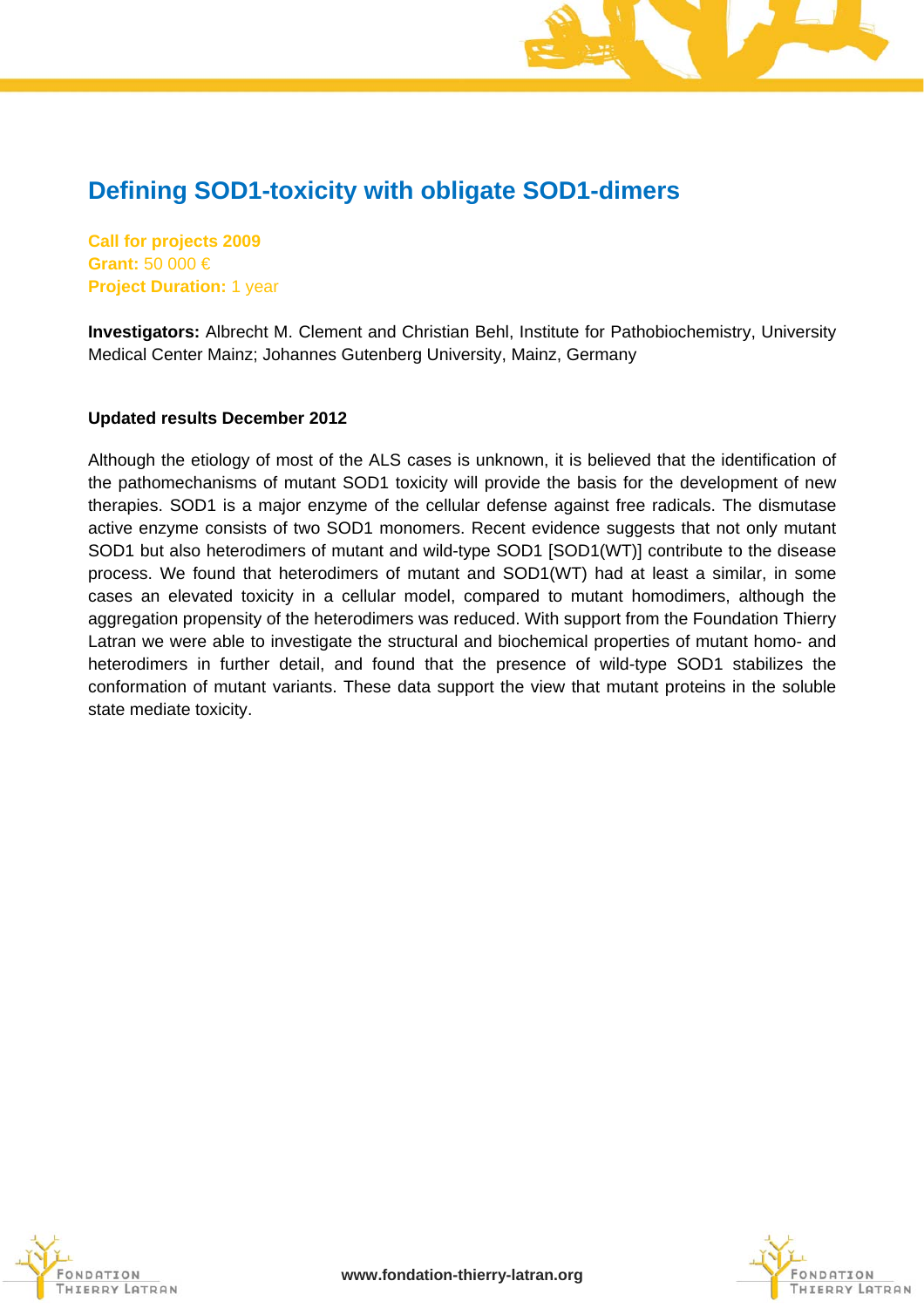# **Defining SOD1-toxicity with obligate SOD1-dimers**

**Call for projects 2009 Grant:** 50 000 € **Project Duration:** 1 year

**Investigators:** Albrecht M. Clement and Christian Behl, Institute for Pathobiochemistry, University Medical Center Mainz; Johannes Gutenberg University, Mainz, Germany

#### **Updated results December 2012**

Although the etiology of most of the ALS cases is unknown, it is believed that the identification of the pathomechanisms of mutant SOD1 toxicity will provide the basis for the development of new therapies. SOD1 is a major enzyme of the cellular defense against free radicals. The dismutase active enzyme consists of two SOD1 monomers. Recent evidence suggests that not only mutant SOD1 but also heterodimers of mutant and wild-type SOD1 [SOD1(WT)] contribute to the disease process. We found that heterodimers of mutant and SOD1(WT) had at least a similar, in some cases an elevated toxicity in a cellular model, compared to mutant homodimers, although the aggregation propensity of the heterodimers was reduced. With support from the Foundation Thierry Latran we were able to investigate the structural and biochemical properties of mutant homo- and heterodimers in further detail, and found that the presence of wild-type SOD1 stabilizes the conformation of mutant variants. These data support the view that mutant proteins in the soluble state mediate toxicity.